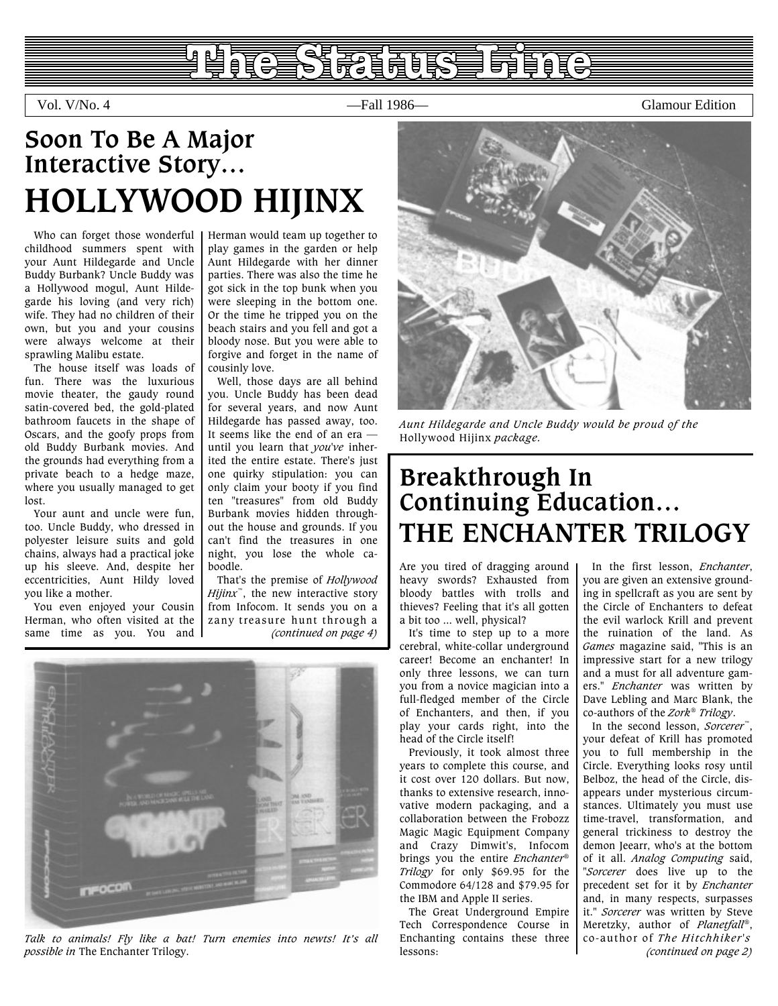### **INGLO TO THE TIME** 自望自自急

Vol. V/No. 4 —Fall 1986— Glamour Edition

## **Soon To Be A Major Interactive Story… HOLLYWOOD HIJINX**

Who can forget those wonderful childhood summers spent with your Aunt Hildegarde and Uncle Buddy Burbank? Uncle Buddy was a Hollywood mogul, Aunt Hildegarde his loving (and very rich) wife. They had no children of their own, but you and your cousins were always welcome at their sprawling Malibu estate.

<span id="page-0-1"></span>The house itself was loads of fun. There was the luxurious movie theater, the gaudy round satin-covered bed, the gold-plated bathroom faucets in the shape of Oscars, and the goofy props from old Buddy Burbank movies. And the grounds had everything from a private beach to a hedge maze, where you usually managed to get lost.

Your aunt and uncle were fun, too. Uncle Buddy, who dressed in polyester leisure suits and gold chains, always had a practical joke up his sleeve. And, despite her eccentricities, Aunt Hildy loved you like a mother.

You even enjoyed your Cousin Herman, who often visited at the same time as you. You and Herman would team up together to play games in the garden or help Aunt Hildegarde with her dinner parties. There was also the time he got sick in the top bunk when you were sleeping in the bottom one. Or the time he tripped you on the beach stairs and you fell and got a bloody nose. But you were able to forgive and forget in the name of cousinly love.

Well, those days are all behind you. Uncle Buddy has been dead for several years, and now Aunt Hildegarde has passed away, too. It seems like the end of an era until you learn that *you've* inherited the entire estate. There's just one quirky stipulation: you can only claim your booty if you find ten "treasures" from old Buddy Burbank movies hidden throughout the house and grounds. If you can't find the treasures in one night, you lose the whole caboodle.

That's the premise of *Hollywood Hijinx*<sup>™</sup>, the new interactive story from Infocom. It sends you on a zany treasure hunt through a *[\(continued on page 4\)](#page-3-0)*



*Talk to animals! Fly like a bat! Turn enemies into newts! It's all possible in* The Enchanter Trilogy.



*Aunt Hildegarde and Uncle Buddy would be proud of the* Hollywood Hijinx *package.*

## **Breakthrough In Continuing Education… THE ENCHANTER TRILOGY**

Are you tired of dragging around heavy swords? Exhausted from bloody battles with trolls and thieves? Feeling that it's all gotten a bit too ... well, physical?

It's time to step up to a more cerebral, white-collar underground career! Become an enchanter! In only three lessons, we can turn you from a novice magician into a full-fledged member of the Circle of Enchanters, and then, if you play your cards right, into the head of the Circle itself!

<span id="page-0-0"></span>Previously, it took almost three years to complete this course, and it cost over 120 dollars. But now, thanks to extensive research, innovative modern packaging, and a collaboration between the Frobozz Magic Magic Equipment Company and Crazy Dimwit's, Infocom brings you the entire *Enchanter*® *Trilogy* for only \$69.95 for the Commodore 64/128 and \$79.95 for the IBM and Apple II series.

The Great Underground Empire Tech Correspondence Course in Enchanting contains these three lessons:

In the first lesson, *Enchanter*, you are given an extensive grounding in spellcraft as you are sent by the Circle of Enchanters to defeat the evil warlock Krill and prevent the ruination of the land. As *Games* magazine said, "This is an impressive start for a new trilogy and a must for all adventure gamers." *Enchanter* was written by Dave Lebling and Marc Blank, the co-authors of the *Zork*® *Trilogy*.

In the second lesson, *Sorcerer*™, your defeat of Krill has promoted you to full membership in the Circle. Everything looks rosy until Belboz, the head of the Circle, disappears under mysterious circumstances. Ultimately you must use time-travel, transformation, and general trickiness to destroy the demon Jeearr, who's at the bottom of it all. *Analog Computing* said, "*Sorcerer* does live up to the precedent set for it by *Enchanter* and, in many respects, surpasses it." *Sorcerer* was written by Steve Meretzky, author of *Planetfall*®, co-author of *The Hitchhiker's [\(continued on page 2\)](#page-1-0)*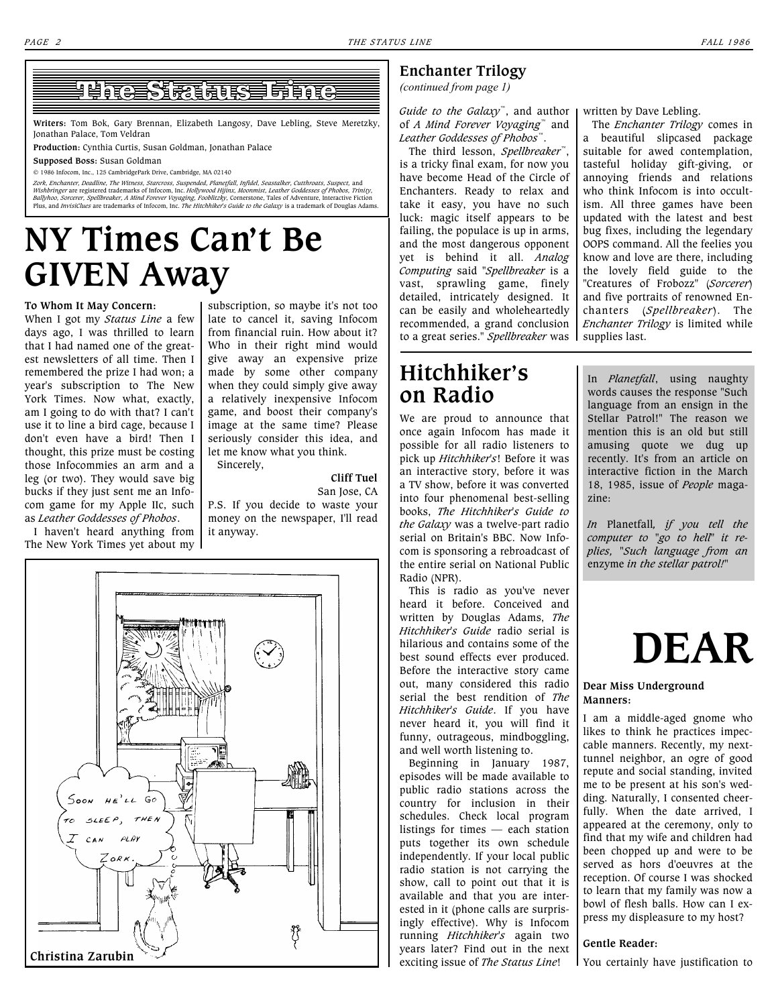### <u>I ALLE RESERVED LA LIC</u>

**Writers:** Tom Bok, Gary Brennan, Elizabeth Langosy, Dave Lebling, Steve Meretzky, Jonathan Palace, Tom Veldran

**Production:** Cynthia Curtis, Susan Goldman, Jonathan Palace

**Supposed Boss:** Susan Goldman

© 1986 Infocom, Inc., 125 CambridgePark Drive, Cambridge, MA 02140

Zork, Enchanter, Deadline, The Witness, Starcross, Suspended, Planetfall, Infidel, Seastalker, Cutthroats, Suspect, and<br>Wishbringer are registered trademarks of Infocom, Inc. Hollywood Hijinx, Moonmist, Leather Goddesses o

## **NY Times Can't Be GIVEN Away**

#### **To Whom It May Concern:**

When I got my *Status Line* a few days ago, I was thrilled to learn that I had named one of the greatest newsletters of all time. Then I remembered the prize I had won; a year's subscription to The New York Times. Now what, exactly, am I going to do with that? I can't use it to line a bird cage, because I don't even have a bird! Then I thought, this prize must be costing those Infocommies an arm and a leg (or two). They would save big bucks if they just sent me an Infocom game for my Apple IIc, such as *Leather Goddesses of Phobos*.

I haven't heard anything from The New York Times yet about my

subscription, so maybe it's not too late to cancel it, saving Infocom from financial ruin. How about it? Who in their right mind would give away an expensive prize made by some other company when they could simply give away a relatively inexpensive Infocom game, and boost their company's image at the same time? Please seriously consider this idea, and let me know what you think.

#### **Cliff Tuel**

San Jose, CA P.S. If you decide to waste your money on the newspaper, I'll read it anyway.

Sincerely,



#### <span id="page-1-0"></span>**Enchanter Trilogy**

*[\(continued from page 1\)](#page-0-0)*

*Guide to the Galaxy*™, and author of *A Mind Forever Voyaging*™ and *Leather Goddesses of Phobos*™.

The third lesson, *Spellbreaker*™, is a tricky final exam, for now you have become Head of the Circle of Enchanters. Ready to relax and take it easy, you have no such luck: magic itself appears to be failing, the populace is up in arms, and the most dangerous opponent yet is behind it all. *Analog Computing* said "*Spellbreaker* is a vast, sprawling game, finely detailed, intricately designed. It can be easily and wholeheartedly recommended, a grand conclusion to a great series." *Spellbreaker* was

#### written by Dave Lebling.

The *Enchanter Trilogy* comes in a beautiful slipcased package suitable for awed contemplation, tasteful holiday gift-giving, or annoying friends and relations who think Infocom is into occultism. All three games have been updated with the latest and best bug fixes, including the legendary OOPS command. All the feelies you know and love are there, including the lovely field guide to the "Creatures of Frobozz" (*Sorcerer*) and five portraits of renowned Enchanters (*Spellbreaker*). The *Enchanter Trilogy* is limited while supplies last.

### **Hitchhiker's on Radio**

We are proud to announce that once again Infocom has made it possible for all radio listeners to pick up *Hitchhiker's*! Before it was an interactive story, before it was a TV show, before it was converted into four phenomenal best-selling books, *The Hitchhiker's Guide to the Galaxy* was a twelve-part radio serial on Britain's BBC. Now Infocom is sponsoring a rebroadcast of the entire serial on National Public Radio (NPR).

This is radio as you've never heard it before. Conceived and written by Douglas Adams, *The Hitchhiker's Guide* radio serial is hilarious and contains some of the best sound effects ever produced. Before the interactive story came out, many considered this radio serial the best rendition of *The Hitchhiker's Guide*. If you have never heard it, you will find it funny, outrageous, mindboggling, and well worth listening to.

Beginning in January 1987, episodes will be made available to public radio stations across the country for inclusion in their schedules. Check local program listings for times — each station puts together its own schedule independently. If your local public radio station is not carrying the show, call to point out that it is available and that you are interested in it (phone calls are surprisingly effective). Why is Infocom running *Hitchhiker's* again two years later? Find out in the next exciting issue of *The Status Line*!

In *Planetfall*, using naughty words causes the response "Such language from an ensign in the Stellar Patrol!" The reason we mention this is an old but still amusing quote we dug up recently. It's from an article on interactive fiction in the March 18, 1985, issue of *People* magazine:

*In* Planetfall*, if you tell the computer to "go to hell" it replies, "Such language from an* enzyme *in the stellar patrol!"*

## **DEAR**

#### **Dear Miss Underground Manners:**

I am a middle-aged gnome who likes to think he practices impeccable manners. Recently, my nexttunnel neighbor, an ogre of good repute and social standing, invited me to be present at his son's wedding. Naturally, I consented cheerfully. When the date arrived, I appeared at the ceremony, only to find that my wife and children had been chopped up and were to be served as hors d'oeuvres at the reception. Of course I was shocked to learn that my family was now a bowl of flesh balls. How can I express my displeasure to my host?

#### **Gentle Reader:**

You certainly have justification to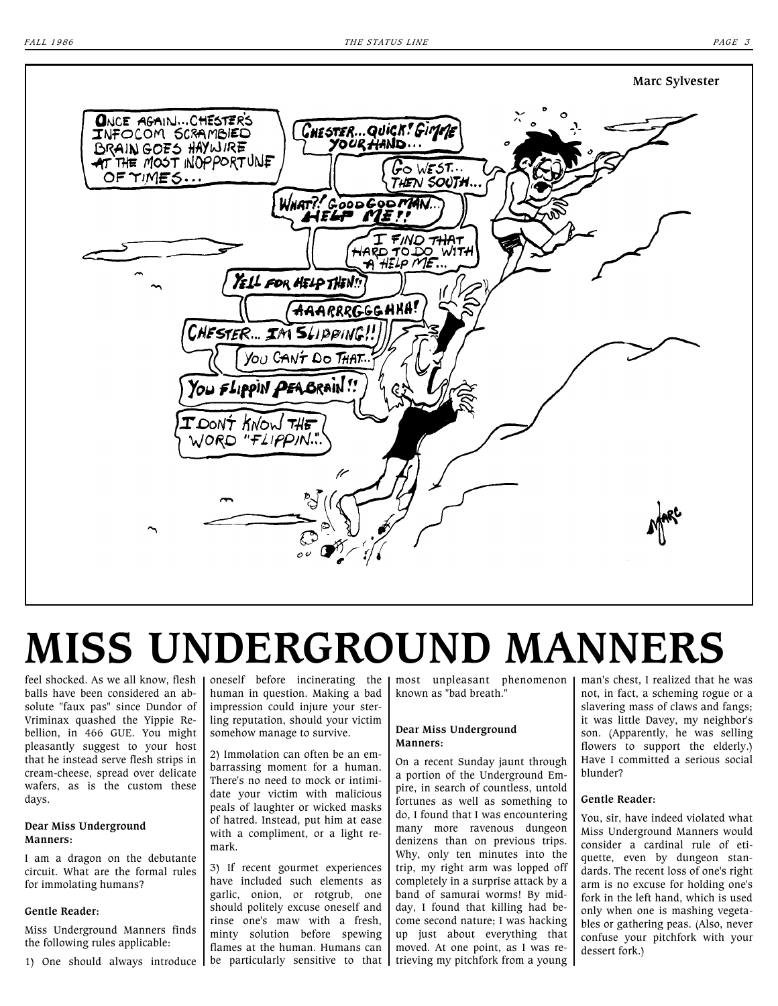

# **MISS UNDERGROUND MANNERS**

feel shocked. As we all know, flesh balls have been considered an absolute "faux pas" since Dundor of Vriminax quashed the Yippie Rebellion, in 466 GUE. You might pleasantly suggest to your host that he instead serve flesh strips in cream-cheese, spread over delicate wafers, as is the custom these days.

#### **Dear Miss Underground Manners:**

I am a dragon on the debutante circuit. What are the formal rules for immolating humans?

#### **Gentle Reader:**

Miss Underground Manners finds the following rules applicable:

1) One should always introduce | be particularly sensitive to that | trieving my pitchfork from a young

oneself before incinerating the human in question. Making a bad impression could injure your sterling reputation, should your victim somehow manage to survive.

2) Immolation can often be an embarrassing moment for a human. There's no need to mock or intimidate your victim with malicious peals of laughter or wicked masks of hatred. Instead, put him at ease with a compliment, or a light remark.

3) If recent gourmet experiences have included such elements as garlic, onion, or rotgrub, one should politely excuse oneself and rinse one's maw with a fresh, minty solution before spewing flames at the human. Humans can most unpleasant phenomenon known as "bad breath."

#### **Dear Miss Underground Manners:**

On a recent Sunday jaunt through a portion of the Underground Empire, in search of countless, untold fortunes as well as something to do, I found that I was encountering many more ravenous dungeon denizens than on previous trips. Why, only ten minutes into the trip, my right arm was lopped off completely in a surprise attack by a band of samurai worms! By midday, I found that killing had become second nature; I was hacking up just about everything that moved. At one point, as I was reman's chest, I realized that he was not, in fact, a scheming rogue or a slavering mass of claws and fangs; it was little Davey, my neighbor's son. (Apparently, he was selling flowers to support the elderly.) Have I committed a serious social blunder?

#### **Gentle Reader:**

You, sir, have indeed violated what Miss Underground Manners would consider a cardinal rule of etiquette, even by dungeon standards. The recent loss of one's right arm is no excuse for holding one's fork in the left hand, which is used only when one is mashing vegetables or gathering peas. (Also, never confuse your pitchfork with your dessert fork.)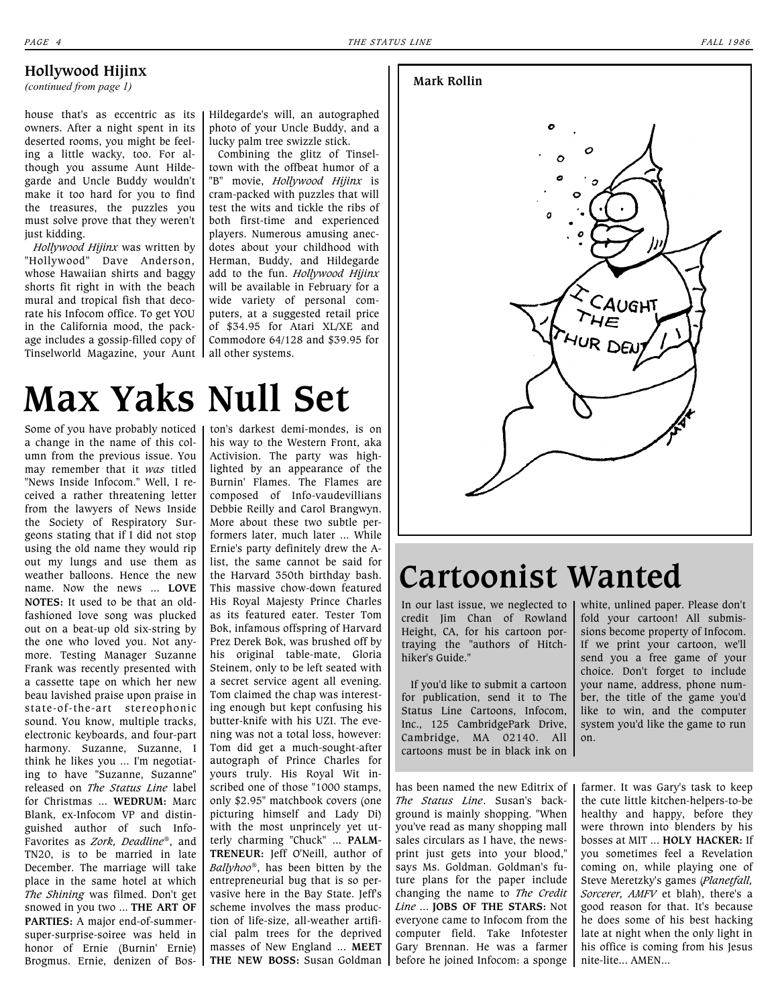#### <span id="page-3-0"></span>**Hollywood Hijinx**

*[\(continued from page 1\)](#page-0-1)*

house that's as eccentric as its owners. After a night spent in its deserted rooms, you might be feeling a little wacky, too. For although you assume Aunt Hildegarde and Uncle Buddy wouldn't make it too hard for you to find the treasures, the puzzles you must solve prove that they weren't just kidding.

*Hollywood Hijinx* was written by "Hollywood" Dave Anderson, whose Hawaiian shirts and baggy shorts fit right in with the beach mural and tropical fish that decorate his Infocom office. To get YOU in the California mood, the package includes a gossip-filled copy of Tinselworld Magazine, your Aunt

#### Hildegarde's will, an autographed photo of your Uncle Buddy, and a lucky palm tree swizzle stick.

Combining the glitz of Tinseltown with the offbeat humor of a "B" movie, *Hollywood Hijinx* is cram-packed with puzzles that will test the wits and tickle the ribs of both first-time and experienced players. Numerous amusing anecdotes about your childhood with Herman, Buddy, and Hildegarde add to the fun. *Hollywood Hijinx* will be available in February for a wide variety of personal computers, at a suggested retail price of \$34.95 for Atari XL/XE and Commodore 64/128 and \$39.95 for all other systems.

## **Max Yaks Null Set**

Some of you have probably noticed a change in the name of this column from the previous issue. You may remember that it *was* titled "News Inside Infocom." Well, I received a rather threatening letter from the lawyers of News Inside the Society of Respiratory Surgeons stating that if I did not stop using the old name they would rip out my lungs and use them as weather balloons. Hence the new name. Now the news ... **LOVE NOTES:** It used to be that an oldfashioned love song was plucked out on a beat-up old six-string by the one who loved you. Not anymore. Testing Manager Suzanne Frank was recently presented with a cassette tape on which her new beau lavished praise upon praise in state-of-the-art stereophonic sound. You know, multiple tracks, electronic keyboards, and four-part harmony. Suzanne, Suzanne, I think he likes you ... I'm negotiating to have "Suzanne, Suzanne" released on *The Status Line* label for Christmas ... **WEDRUM:** Marc Blank, ex-Infocom VP and distinguished author of such Info-Favorites as *Zork, Deadline*®, and TN20, is to be married in late December. The marriage will take place in the same hotel at which *The Shining* was filmed. Don't get snowed in you two ... **THE ART OF PARTIES:** A major end-of-summersuper-surprise-soiree was held in honor of Ernie (Burnin' Ernie) Brogmus. Ernie, denizen of Bos-**THE NEW BOSS:** Susan Goldman

ton's darkest demi-mondes, is on his way to the Western Front, aka Activision. The party was highlighted by an appearance of the Burnin' Flames. The Flames are composed of Info-vaudevillians Debbie Reilly and Carol Brangwyn. More about these two subtle performers later, much later ... While Ernie's party definitely drew the Alist, the same cannot be said for the Harvard 350th birthday bash. This massive chow-down featured His Royal Majesty Prince Charles as its featured eater. Tester Tom Bok, infamous offspring of Harvard Prez Derek Bok, was brushed off by his original table-mate, Gloria Steinem, only to be left seated with a secret service agent all evening. Tom claimed the chap was interesting enough but kept confusing his butter-knife with his UZI. The evening was not a total loss, however: Tom did get a much-sought-after autograph of Prince Charles for yours truly. His Royal Wit inscribed one of those "1000 stamps, only \$2.95" matchbook covers (one picturing himself and Lady Di) with the most unprincely yet utterly charming "Chuck" ... **PALM-TRENEUR:** Jeff O'Neill, author of *Ballyhoo*®, has been bitten by the entrepreneurial bug that is so pervasive here in the Bay State. Jeff's scheme involves the mass production of life-size, all-weather artificial palm trees for the deprived masses of New England ... **MEET** 

#### **Mark Rollin**



## **Cartoonist Wanted**

In our last issue, we neglected to credit Jim Chan of Rowland Height, CA, for his cartoon portraying the "authors of Hitchhiker's Guide."

If you'd like to submit a cartoon for publication, send it to The Status Line Cartoons, Infocom, Inc., 125 CambridgePark Drive, Cambridge, MA 02140. All cartoons must be in black ink on

has been named the new Editrix of *The Status Line*. Susan's background is mainly shopping. "When you've read as many shopping mall sales circulars as I have, the newsprint just gets into your blood," says Ms. Goldman. Goldman's future plans for the paper include changing the name to *The Credit Line* ... **JOBS OF THE STARS:** Not everyone came to Infocom from the computer field. Take Infotester Gary Brennan. He was a farmer before he joined Infocom: a sponge white, unlined paper. Please don't fold your cartoon! All submissions become property of Infocom. If we print your cartoon, we'll send you a free game of your choice. Don't forget to include your name, address, phone number, the title of the game you'd like to win, and the computer system you'd like the game to run on.

farmer. It was Gary's task to keep the cute little kitchen-helpers-to-be healthy and happy, before they were thrown into blenders by his bosses at MIT ... **HOLY HACKER:** If you sometimes feel a Revelation coming on, while playing one of Steve Meretzky's games (*Planetfall, Sorcerer, AMFV* et blah), there's a good reason for that. It's because he does some of his best hacking late at night when the only light in his office is coming from his Jesus nite-lite... AMEN...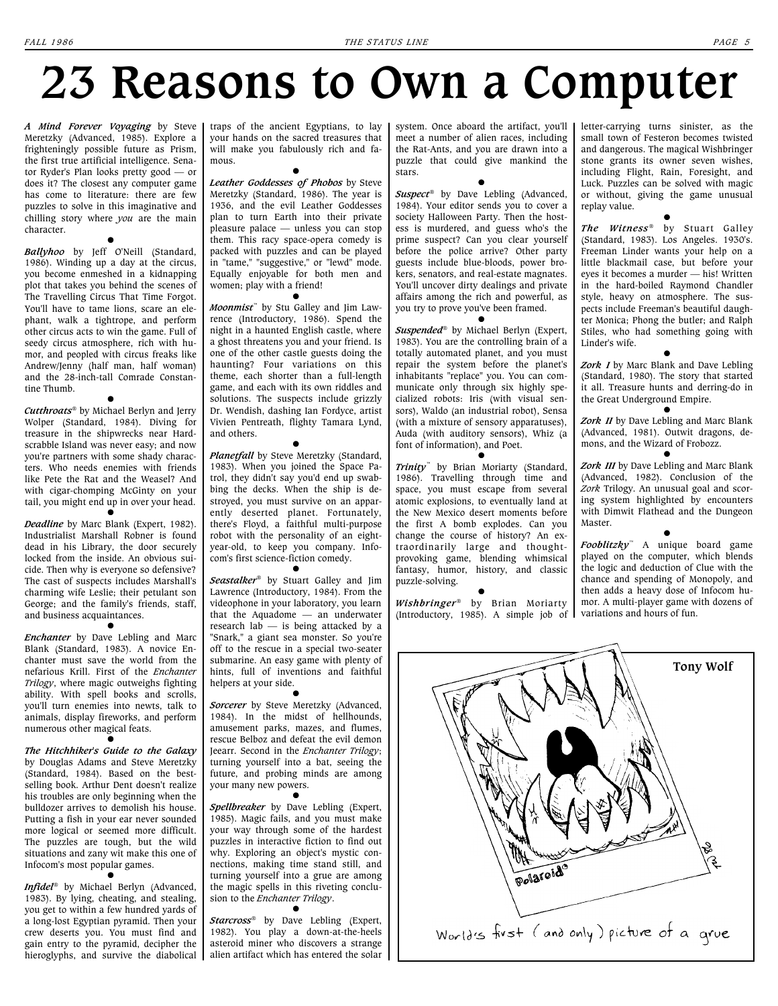# **23 Reasons to Own a Computer**

*A Mind Forever Voyaging* by Steve Meretzky (Advanced, 1985). Explore a frighteningly possible future as Prism, the first true artificial intelligence. Senator Ryder's Plan looks pretty good — or does it? The closest any computer game has come to literature: there are few puzzles to solve in this imaginative and chilling story where *you* are the main character.

**l**

*Ballyhoo* by Jeff O'Neill (Standard, 1986). Winding up a day at the circus, you become enmeshed in a kidnapping plot that takes you behind the scenes of The Travelling Circus That Time Forgot. You'll have to tame lions, scare an elephant, walk a tightrope, and perform other circus acts to win the game. Full of seedy circus atmosphere, rich with humor, and peopled with circus freaks like Andrew/Jenny (half man, half woman) and the 28-inch-tall Comrade Constantine Thumb.

*Cutthroats*® by Michael Berlyn and Jerry Wolper (Standard, 1984). Diving for treasure in the shipwrecks near Hardscrabble Island was never easy; and now you're partners with some shady characters. Who needs enemies with friends like Pete the Rat and the Weasel? And with cigar-chomping McGinty on your tail, you might end up in over your head.

**l**

**l** *Deadline* by Marc Blank (Expert, 1982). Industrialist Marshall Robner is found dead in his Library, the door securely locked from the inside. An obvious suicide. Then why is everyone so defensive? The cast of suspects includes Marshall's charming wife Leslie; their petulant son George; and the family's friends, staff, and business acquaintances.

**l** *Enchanter* by Dave Lebling and Marc Blank (Standard, 1983). A novice Enchanter must save the world from the nefarious Krill. First of the *Enchanter Trilogy*, where magic outweighs fighting ability. With spell books and scrolls, you'll turn enemies into newts, talk to animals, display fireworks, and perform numerous other magical feats.

**l** *The Hitchhiker's Guide to the Galaxy* by Douglas Adams and Steve Meretzky (Standard, 1984). Based on the bestselling book. Arthur Dent doesn't realize his troubles are only beginning when the bulldozer arrives to demolish his house. Putting a fish in your ear never sounded more logical or seemed more difficult. The puzzles are tough, but the wild situations and zany wit make this one of Infocom's most popular games. **l**

*Infidel*® by Michael Berlyn (Advanced, 1983). By lying, cheating, and stealing, you get to within a few hundred yards of a long-lost Egyptian pyramid. Then your crew deserts you. You must find and gain entry to the pyramid, decipher the

traps of the ancient Egyptians, to lay your hands on the sacred treasures that will make you fabulously rich and famous.

**l** *Leather Goddesses of Phobos* by Steve Meretzky (Standard, 1986). The year is 1936, and the evil Leather Goddesses plan to turn Earth into their private pleasure palace — unless you can stop them. This racy space-opera comedy is packed with puzzles and can be played in "tame," "suggestive," or "lewd" mode. Equally enjoyable for both men and women; play with a friend!

 $\bullet$ *Moonmist*™ by Stu Galley and Jim Lawrence (Introductory, 1986). Spend the night in a haunted English castle, where a ghost threatens you and your friend. Is one of the other castle guests doing the haunting? Four variations on this theme, each shorter than a full-length game, and each with its own riddles and solutions. The suspects include grizzly Dr. Wendish, dashing Ian Fordyce, artist Vivien Pentreath, flighty Tamara Lynd, and others. **l**

*Planetfall* by Steve Meretzky (Standard, 1983). When you joined the Space Patrol, they didn't say you'd end up swabbing the decks. When the ship is destroyed, you must survive on an apparently deserted planet. Fortunately, there's Floyd, a faithful multi-purpose robot with the personality of an eightyear-old, to keep you company. Infocom's first science-fiction comedy.

**l** *Seastalker*® by Stuart Galley and Jim Lawrence (Introductory, 1984). From the videophone in your laboratory, you learn that the Aquadome — an underwater research lab  $-$  is being attacked by a "Snark," a giant sea monster. So you're off to the rescue in a special two-seater submarine. An easy game with plenty of hints, full of inventions and faithful helpers at your side. **l**

*Sorcerer* by Steve Meretzky (Advanced, 1984). In the midst of hellhounds, amusement parks, mazes, and flumes, rescue Belboz and defeat the evil demon Jeearr. Second in the *Enchanter Trilogy*; turning yourself into a bat, seeing the future, and probing minds are among your many new powers.

**l** *Spellbreaker* by Dave Lebling (Expert, 1985). Magic fails, and you must make your way through some of the hardest puzzles in interactive fiction to find out why. Exploring an object's mystic connections, making time stand still, and turning yourself into a grue are among the magic spells in this riveting conclusion to the *Enchanter Trilogy*.

hieroglyphs, and survive the diabolical alien artifact which has entered the solar **l** *Starcross*® by Dave Lebling (Expert, 1982). You play a down-at-the-heels asteroid miner who discovers a strange

system. Once aboard the artifact, you'll meet a number of alien races, including the Rat-Ants, and you are drawn into a puzzle that could give mankind the stars.

**l** *Suspect*® by Dave Lebling (Advanced, 1984). Your editor sends you to cover a society Halloween Party. Then the hostess is murdered, and guess who's the prime suspect? Can you clear yourself before the police arrive? Other party guests include blue-bloods, power brokers, senators, and real-estate magnates. You'll uncover dirty dealings and private affairs among the rich and powerful, as you try to prove you've been framed.  $\bullet$ 

*Suspended*® by Michael Berlyn (Expert, 1983). You are the controlling brain of a totally automated planet, and you must repair the system before the planet's inhabitants "replace" you. You can communicate only through six highly specialized robots: Iris (with visual sensors), Waldo (an industrial robot), Sensa (with a mixture of sensory apparatuses), Auda (with auditory sensors), Whiz (a font of information), and Poet.  $\bullet$ 

*Trinity*™ by Brian Moriarty (Standard, 1986). Travelling through time and space, you must escape from several atomic explosions, to eventually land at the New Mexico desert moments before the first A bomb explodes. Can you change the course of history? An extraordinarily large and thoughtprovoking game, blending whimsical fantasy, humor, history, and classic puzzle-solving.

 $\bullet$ *Wishbringer*® by Brian Moriarty (Introductory, 1985). A simple job of

letter-carrying turns sinister, as the small town of Festeron becomes twisted and dangerous. The magical Wishbringer stone grants its owner seven wishes, including Flight, Rain, Foresight, and Luck. Puzzles can be solved with magic or without, giving the game unusual replay value.

**l** *The Witness*® by Stuart Galley (Standard, 1983). Los Angeles. 1930's. Freeman Linder wants your help on a little blackmail case, but before your eyes it becomes a murder — his! Written in the hard-boiled Raymond Chandler style, heavy on atmosphere. The suspects include Freeman's beautiful daughter Monica; Phong the butler; and Ralph Stiles, who had something going with Linder's wife.

**l** *Zork I* by Marc Blank and Dave Lebling (Standard, 1980). The story that started it all. Treasure hunts and derring-do in the Great Underground Empire.

**l** *Zork II* by Dave Lebling and Marc Blank (Advanced, 1981). Outwit dragons, demons, and the Wizard of Frobozz.

**l** *Zork III* by Dave Lebling and Marc Blank (Advanced, 1982). Conclusion of the *Zork* Trilogy. An unusual goal and scoring system highlighted by encounters with Dimwit Flathead and the Dungeon Master.

**l** *Fooblitzky*™ A unique board game played on the computer, which blends the logic and deduction of Clue with the chance and spending of Monopoly, and then adds a heavy dose of Infocom humor. A multi-player game with dozens of variations and hours of fun.

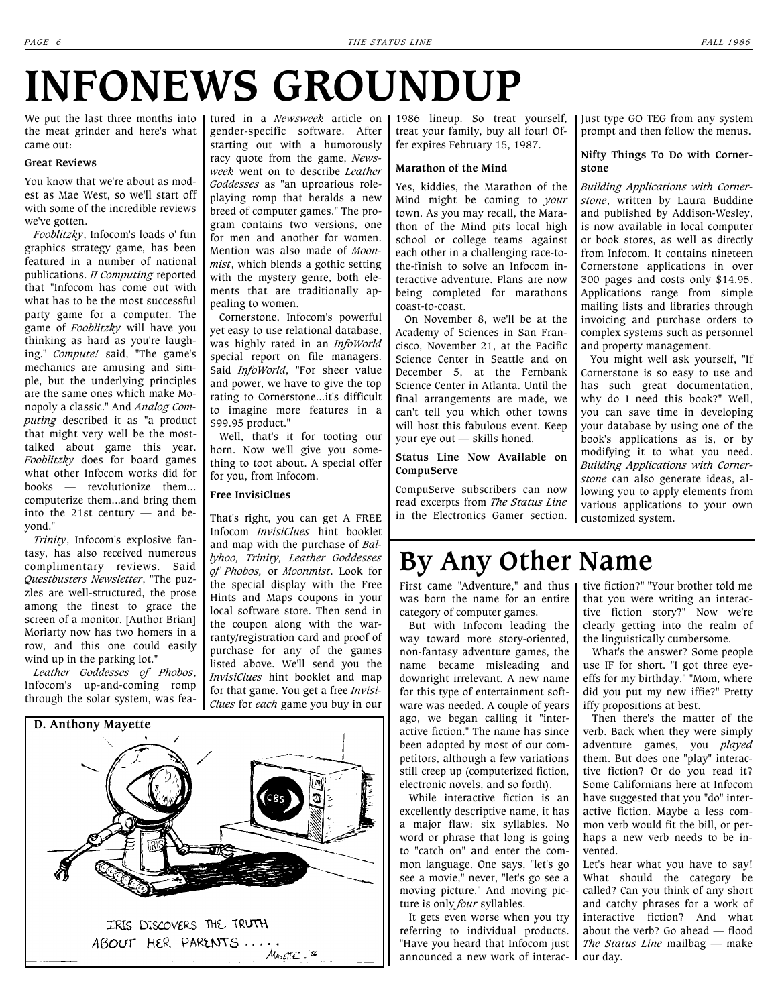# **INFONEWS GROUNDUP**

We put the last three months into the meat grinder and here's what came out:

#### **Great Reviews**

You know that we're about as modest as Mae West, so we'll start off with some of the incredible reviews we've gotten.

*Fooblitzky*, Infocom's loads o' fun graphics strategy game, has been featured in a number of national publications. *II Computing* reported that "Infocom has come out with what has to be the most successful party game for a computer. The game of *Fooblitzky* will have you thinking as hard as you're laughing." *Compute!* said, "The game's mechanics are amusing and simple, but the underlying principles are the same ones which make Monopoly a classic." And *Analog Computing* described it as "a product that might very well be the mosttalked about game this year. *Fooblitzky* does for board games what other Infocom works did for books — revolutionize them... computerize them...and bring them into the 21st century — and beyond."

*Trinity*, Infocom's explosive fantasy, has also received numerous complimentary reviews. Said *Questbusters Newsletter*, "The puzzles are well-structured, the prose among the finest to grace the screen of a monitor. [Author Brian] Moriarty now has two homers in a row, and this one could easily wind up in the parking lot."

*Leather Goddesses of Phobos*, Infocom's up-and-coming romp through the solar system, was featured in a *Newsweek* article on gender-specific software. After starting out with a humorously racy quote from the game, *Newsweek* went on to describe *Leather Goddesses* as "an uproarious roleplaying romp that heralds a new breed of computer games." The program contains two versions, one for men and another for women. Mention was also made of *Moonmist*, which blends a gothic setting with the mystery genre, both elements that are traditionally appealing to women.

Cornerstone, Infocom's powerful yet easy to use relational database, was highly rated in an *InfoWorld* special report on file managers. Said *InfoWorld*, "For sheer value and power, we have to give the top rating to Cornerstone...it's difficult to imagine more features in a \$99.95 product."

Well, that's it for tooting our horn. Now we'll give you something to toot about. A special offer for you, from Infocom.

#### **Free InvisiClues**

That's right, you can get A FREE Infocom *InvisiClues* hint booklet and map with the purchase of *Ballyhoo, Trinity, Leather Goddesses of Phobos,* or *Moonmist*. Look for the special display with the Free Hints and Maps coupons in your local software store. Then send in the coupon along with the warranty/registration card and proof of purchase for any of the games listed above. We'll send you the *InvisiClues* hint booklet and map for that game. You get a free *Invisi-Clues* for *each* game you buy in our



1986 lineup. So treat yourself, treat your family, buy all four! Offer expires February 15, 1987.

#### **Marathon of the Mind**

Yes, kiddies, the Marathon of the Mind might be coming to *your* town. As you may recall, the Marathon of the Mind pits local high school or college teams against each other in a challenging race-tothe-finish to solve an Infocom interactive adventure. Plans are now being completed for marathons coast-to-coast.

On November 8, we'll be at the Academy of Sciences in San Francisco, November 21, at the Pacific Science Center in Seattle and on December 5, at the Fernbank Science Center in Atlanta. Until the final arrangements are made, we can't tell you which other towns will host this fabulous event. Keep your eye out — skills honed.

#### **Status Line Now Available on CompuServe**

CompuServe subscribers can now read excerpts from *The Status Line*  in the Electronics Gamer section.

#### Just type GO TEG from any system prompt and then follow the menus.

#### **Nifty Things To Do with Cornerstone**

*Building Applications with Cornerstone*, written by Laura Buddine and published by Addison-Wesley, is now available in local computer or book stores, as well as directly from Infocom. It contains nineteen Cornerstone applications in over 300 pages and costs only \$14.95. Applications range from simple mailing lists and libraries through invoicing and purchase orders to complex systems such as personnel and property management.

You might well ask yourself, "If Cornerstone is so easy to use and has such great documentation, why do I need this book?" Well, you can save time in developing your database by using one of the book's applications as is, or by modifying it to what you need. *Building Applications with Cornerstone* can also generate ideas, allowing you to apply elements from various applications to your own customized system.

## **By Any Other Name**

First came "Adventure," and thus was born the name for an entire category of computer games.

But with Infocom leading the way toward more story-oriented, non-fantasy adventure games, the name became misleading and downright irrelevant. A new name for this type of entertainment software was needed. A couple of years ago, we began calling it "interactive fiction." The name has since been adopted by most of our competitors, although a few variations still creep up (computerized fiction, electronic novels, and so forth).

While interactive fiction is an excellently descriptive name, it has a major flaw: six syllables. No word or phrase that long is going to "catch on" and enter the common language. One says, "let's go see a movie," never, "let's go see a moving picture." And moving picture is only *four* syllables.

It gets even worse when you try referring to individual products. "Have you heard that Infocom just announced a new work of interac- I our day.

tive fiction?" "Your brother told me that you were writing an interactive fiction story?" Now we're clearly getting into the realm of the linguistically cumbersome.

What's the answer? Some people use IF for short. "I got three eyeeffs for my birthday." "Mom, where did you put my new iffie?" Pretty iffy propositions at best.

Then there's the matter of the verb. Back when they were simply adventure games, you *played* them. But does one "play" interactive fiction? Or do you read it? Some Californians here at Infocom have suggested that you "do" interactive fiction. Maybe a less common verb would fit the bill, or perhaps a new verb needs to be invented.

Let's hear what you have to say! What should the category be called? Can you think of any short and catchy phrases for a work of interactive fiction? And what about the verb? Go ahead — flood *The Status Line* mailbag — make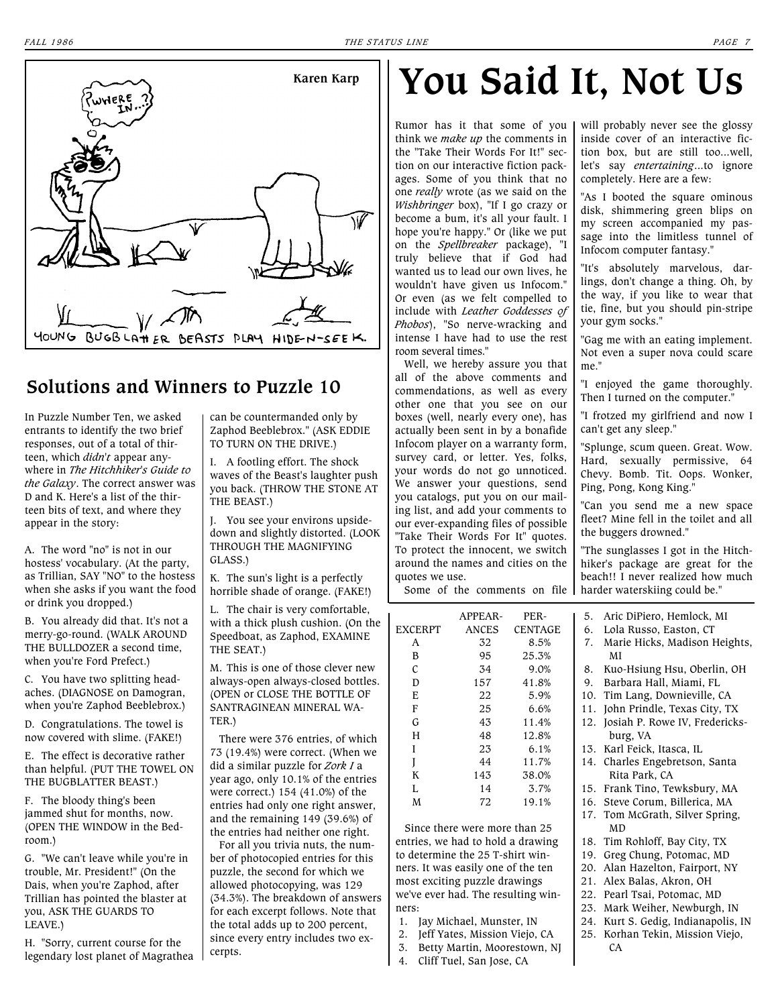

#### **Solutions and Winners to Puzzle 10**

In Puzzle Number Ten, we asked entrants to identify the two brief responses, out of a total of thirteen, which *didn't* appear anywhere in *The Hitchhiker's Guide to the Galaxy*. The correct answer was D and K. Here's a list of the thirteen bits of text, and where they appear in the story:

A. The word "no" is not in our hostess' vocabulary. (At the party, as Trillian, SAY "NO" to the hostess when she asks if you want the food or drink you dropped.)

B. You already did that. It's not a merry-go-round. (WALK AROUND THE BULLDOZER a second time, when you're Ford Prefect.)

C. You have two splitting headaches. (DIAGNOSE on Damogran, when you're Zaphod Beeblebrox.)

D. Congratulations. The towel is now covered with slime. (FAKE!)

E. The effect is decorative rather than helpful. (PUT THE TOWEL ON THE BUGBLATTER BEAST.)

F. The bloody thing's been jammed shut for months, now. (OPEN THE WINDOW in the Bedroom.)

G. "We can't leave while you're in trouble, Mr. President!" (On the Dais, when you're Zaphod, after Trillian has pointed the blaster at you, ASK THE GUARDS TO LEAVE.)

H. "Sorry, current course for the legendary lost planet of Magrathea can be countermanded only by Zaphod Beeblebrox." (ASK EDDIE TO TURN ON THE DRIVE.)

I. A footling effort. The shock waves of the Beast's laughter push you back. (THROW THE STONE AT THE BEAST.)

J. You see your environs upsidedown and slightly distorted. (LOOK THROUGH THE MAGNIFYING GLASS.)

K. The sun's light is a perfectly horrible shade of orange. (FAKE!)

L. The chair is very comfortable, with a thick plush cushion. (On the Speedboat, as Zaphod, EXAMINE THE SEAT.)

M. This is one of those clever new always-open always-closed bottles. (OPEN or CLOSE THE BOTTLE OF SANTRAGINEAN MINERAL WA-TER.)

There were 376 entries, of which 73 (19.4%) were correct. (When we did a similar puzzle for *Zork I* a year ago, only 10.1% of the entries were correct.) 154 (41.0%) of the entries had only one right answer, and the remaining 149 (39.6%) of the entries had neither one right.

For all you trivia nuts, the number of photocopied entries for this puzzle, the second for which we allowed photocopying, was 129 (34.3%). The breakdown of answers for each excerpt follows. Note that the total adds up to 200 percent, since every entry includes two excerpts.

# **You Said It, Not Us**

Rumor has it that some of you think we *make up* the comments in the "Take Their Words For It!" section on our interactive fiction packages. Some of you think that no one *really* wrote (as we said on the *Wishbringer* box), "If I go crazy or become a bum, it's all your fault. I hope you're happy." Or (like we put on the *Spellbreaker* package), "I truly believe that if God had wanted us to lead our own lives, he wouldn't have given us Infocom." Or even (as we felt compelled to include with *Leather Goddesses of Phobos*), "So nerve-wracking and intense I have had to use the rest room several times."

Well, we hereby assure you that all of the above comments and commendations, as well as every other one that you see on our boxes (well, nearly every one), has actually been sent in by a bonafide Infocom player on a warranty form, survey card, or letter. Yes, folks, your words do not go unnoticed. We answer your questions, send you catalogs, put you on our mailing list, and add your comments to our ever-expanding files of possible "Take Their Words For It" quotes. To protect the innocent, we switch around the names and cities on the quotes we use. Some of the comments on file will probably never see the glossy inside cover of an interactive fiction box, but are still too...well, let's say *entertaining*...to ignore completely. Here are a few:

"As I booted the square ominous disk, shimmering green blips on my screen accompanied my passage into the limitless tunnel of Infocom computer fantasy."

"It's absolutely marvelous, darlings, don't change a thing. Oh, by the way, if you like to wear that tie, fine, but you should pin-stripe your gym socks."

"Gag me with an eating implement. Not even a super nova could scare me."

"I enjoyed the game thoroughly. Then I turned on the computer."

"I frotzed my girlfriend and now I can't get any sleep."

"Splunge, scum queen. Great. Wow. Hard, sexually permissive, 64 Chevy. Bomb. Tit. Oops. Wonker, Ping, Pong, Kong King."

"Can you send me a new space fleet? Mine fell in the toilet and all the buggers drowned."

"The sunglasses I got in the Hitchhiker's package are great for the beach!! I never realized how much harder waterskiing could be."

APPEAR- PER-EXCERPT ANCES CENTAGE A 32 8.5%

| Λ | ΟZ  | O.J%  |
|---|-----|-------|
| B | 95  | 25.3% |
| C | 34  | 9.0%  |
| D | 157 | 41.8% |
| E | 22  | 5.9%  |
| F | 25  | 6.6%  |
| G | 43  | 11.4% |
| H | 48  | 12.8% |
| I | 23  | 6.1%  |
| I | 44  | 11.7% |
| K | 143 | 38.0% |
| L | 14  | 3.7%  |
| M | 72  | 19.1% |
|   |     |       |

Since there were more than 25 entries, we had to hold a drawing to determine the 25 T-shirt winners. It was easily one of the ten most exciting puzzle drawings we've ever had. The resulting winners:

- 1. Jay Michael, Munster, IN
- 2. Jeff Yates, Mission Viejo, CA
- 3. Betty Martin, Moorestown, NJ
- 4. Cliff Tuel, San Jose, CA

5. Aric DiPiero, Hemlock, MI 6. Lola Russo, Easton, CT

- 7. Marie Hicks, Madison Heights, MI
- 8. Kuo-Hsiung Hsu, Oberlin, OH
- 9. Barbara Hall, Miami, FL
- 10. Tim Lang, Downieville, CA
- 11. John Prindle, Texas City, TX
- 12. Josiah P. Rowe IV, Fredericksburg, VA
- 13. Karl Feick, Itasca, IL
- 14. Charles Engebretson, Santa Rita Park, CA
- 15. Frank Tino, Tewksbury, MA
- 16. Steve Corum, Billerica, MA
- 17. Tom McGrath, Silver Spring, MD
- 18. Tim Rohloff, Bay City, TX
- 19. Greg Chung, Potomac, MD
- 20. Alan Hazelton, Fairport, NY
- 21. Alex Balas, Akron, OH
- 22. Pearl Tsai, Potomac, MD 23. Mark Weiher, Newburgh, IN
- 24. Kurt S. Gedig, Indianapolis, IN
- 25. Korhan Tekin, Mission Viejo, CA